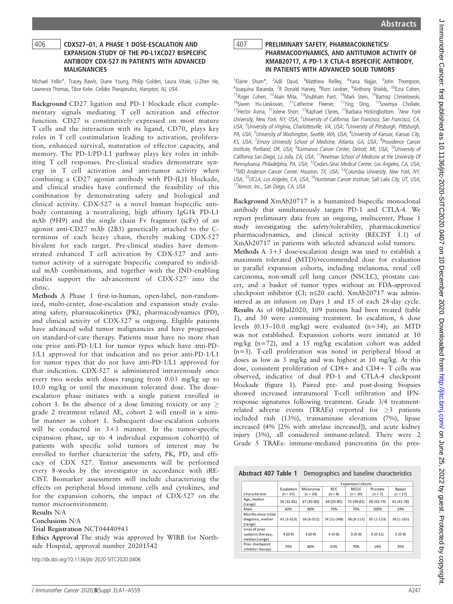# <sup>406</sup> CDX527–01, A PHASE 1 DOSE-ESCALATION AND ANTIBODY CDX-527 IN PATIENTS WITH ADVANCED **MALIGNANCIES**

Michael Yellin\*, Tracey Rawls, Diane Young, Philip Golden, Laura Vitale, Li-Zhen He, Lawrence Thomas, Tibor Keler. Celldex Therapeutics, Hampton, NJ, USA

Background CD27 ligation and PD-1 blockade elicit complementary signals mediating T cell activation and effector function. CD27 is constitutively expressed on most mature T cells and the interaction with its ligand, CD70, plays key roles in T cell costimulation leading to activation, proliferation, enhanced survival, maturation of effector capacity, and memory. The PD-1/PD-L1 pathway plays key roles in inhibiting T cell responses. Pre-clinical studies demonstrate synergy in T cell activation and anti-tumor activity when combining a CD27 agonist antibody with PD-(L)1 blockade, and clinical studies have confirmed the feasibility of this combination by demonstrating safety and biological and clinical activity. CDX-527 is a novel human bispecific antibody containing a neutralizing, high affinity IgG1k PD-L1 mAb (9H9) and the single chain Fv fragment (scFv) of an agonist anti-CD27 mAb (2B3) genetically attached to the Cterminus of each heavy chain, thereby making CDX-527 bivalent for each target. Pre-clinical studies have demonstrated enhanced T cell activation by CDX-527 and antitumor activity of a surrogate bispecific compared to individual mAb combinations, and together with the IND-enabling studies support the advancement of CDX-527 into the clinic.

Methods A Phase 1 first-in-human, open-label, non-randomized, multi-center, dose-escalation and expansion study evaluating safety, pharmacokinetics (PK), pharmacodynamics (PD), and clinical activity of CDX-527 is ongoing. Eligible patients have advanced solid tumor malignancies and have progressed on standard-of-care therapy. Patients must have no more than one prior anti-PD-1/L1 for tumor types which have anti-PD-1/L1 approved for that indication and no prior anti-PD-1/L1 for tumor types that do not have anti-PD-1/L1 approved for that indication. CDX-527 is administered intravenously once every two weeks with doses ranging from 0.03 mg/kg up to 10.0 mg/kg or until the maximum tolerated dose. The doseescalation phase initiates with a single patient enrolled in cohort 1. In the absence of a dose limiting toxicity or any  $\geq$ grade 2 treatment related AE, cohort 2 will enroll in a similar manner as cohort 1. Subsequent dose-escalation cohorts will be conducted in  $3+3$  manner. In the tumor-specific expansion phase, up to 4 individual expansion cohort(s) of patients with specific solid tumors of interest may be enrolled to further characterize the safety, PK, PD, and efficacy of CDX 527. Tumor assessments will be performed every 8-weeks by the investigator in accordance with iRE-CIST. Biomarker assessments will include characterizing the effects on peripheral blood immune cells and cytokines, and for the expansion cohorts, the impact of CDX-527 on the tumor microenvironment.

Results N/A

Conclusions N/A

Trial Registration NCT04440943

Ethics Approval The study was approved by WIRB for Northside Hospital, approval number 20201542

http://dx.doi.org/10.1136/jitc-2020-SITC2020.0406

## 407 PRELIMINARY SAFETY, PHARMACOKINETICS/<br>PHARMACODYNAMICS. AND ANTITUMOR ACTIVITY OF XMAB20717, A PD-1 X CTLA-4 BISPECIFIC ANTIBODY, IN PATIENTS WITH ADVANCED SOLID TUMORS

<sup>1</sup>Elaine Shum\*, <sup>2</sup>Adil Daud, <sup>3</sup>Matthew Reilley, <sup>4</sup>Yana Najjar, <sup>5</sup>John Thompson, <sup>6</sup>Joaquina Baranda, <sup>7</sup>R Donald Harvey, <sup>8</sup>Rom Leidner, <sup>9</sup>Anthony Shields, <sup>10</sup>Ezra Cohen, <sup>11</sup>Roger Cohen, <sup>12</sup>Alain Mita, <sup>13</sup>Shubham Pant, <sup>14</sup>Mark Stein, <sup>15</sup>Bartosz Chmielowski, <sup>16</sup>Siwen Hu-Lieskovan, <sup>17</sup>Catherine Fleener, <sup>17</sup>Ying Ding, <sup>17</sup>Sowmya Chollate, <sup>17</sup>Hector Avina, <sup>17</sup>Jolene Shorr, <sup>17</sup>Raphael Clynes, <sup>17</sup>Barbara Hickingbottom. <sup>1</sup>New York University, New York, NY, USA; <sup>2</sup>University of California, San Francisco, San Francisco, CA, USA; <sup>3</sup>University of Virginia, Charlottesville, VA, USA; <sup>4</sup>University of Pittsburgh, Pittsburgh, PA, USA; <sup>5</sup>University of Washington, Seattle, WA, USA; <sup>6</sup>University of Kansas, Kansas City, KS, USA; <sup>7</sup>Emory University School of Medicine, Atlanta, GA, USA; <sup>8</sup>Providence Cancer Institute, Portland, OR, USA; <sup>9</sup>Karmanos Cancer Center, Detroit, MI, USA; <sup>10</sup>University of California San Diego, La Jolla, CA, USA;  $^{11}$ Perelman School of Medicine at the University Of Pennsylvania, Philadelphia, PA, USA; <sup>12</sup>Cedars-Sinai Medical Center, Los Angeles, CA, USA; <sup>13</sup>MD Anderson Cancer Center, Houston, TX, USA; <sup>14</sup>Columbia University, New York, NY, USA; <sup>15</sup>UCLA, Los Angeles, CA, USA; <sup>16</sup>Huntsman Cancer Institute, Salt Lake City, UT, USA; <sup>17</sup>Xencor, Inc., San Diego, CA, USA

Background XmAb20717 is a humanized bispecific monoclonal antibody that simultaneously targets PD-1 and CTLA-4. We report preliminary data from an ongoing, multicenter, Phase 1 study investigating the safety/tolerability, pharmacokinetics/ pharmacodynamics, and clinical activity (RECIST 1.1) of XmAb20717 in patients with selected advanced solid tumors. Methods A 3+3 dose-escalation design was used to establish a maximum tolerated (MTD)/recommended dose for evaluation in parallel expansion cohorts, including melanoma, renal cell carcinoma, non-small cell lung cancer (NSCLC), prostate cancer, and a basket of tumor types without an FDA-approved checkpoint inhibitor (CI;  $n \le 20$  each). XmAb20717 was administered as an infusion on Days 1 and 15 of each 28-day cycle. Results As of 08Jul2020, 109 patients had been treated (table 1), and 30 were continuing treatment. In escalation, 6 dose levels (0.15–10.0 mg/kg) were evaluated (n=34); an MTD was not established. Expansion cohorts were initiated at 10 mg/kg (n=72), and a 15 mg/kg escalation cohort was added (n=3). T-cell proliferation was noted in peripheral blood at doses as low as 3 mg/kg and was highest at 10 mg/kg. At this dose, consistent proliferation of CD8+ and CD4+ T cells was observed, indicative of dual PD-1 and CTLA-4 checkpoint blockade (figure 1). Paired pre- and post-dosing biopsies showed increased intratumoral T-cell infiltration and IFNresponse signatures following treatment. Grade 3/4 treatmentrelated adverse events (TRAEs) reported for  $\geq$ 3 patients included rash (13%), transaminase elevations (7%), lipase increased (4% [2% with amylase increased]), and acute kidney injury (3%), all considered immune-related. There were 2 Grade 5 TRAEs: immune-mediated pancreatitis (in the pres-

| Abstract 407 Table 1 Demographics and baseline characteristics |  |
|----------------------------------------------------------------|--|
|                                                                |  |

|                                                       |            | <b>Expansion Cohorts</b> |             |              |            |             |  |
|-------------------------------------------------------|------------|--------------------------|-------------|--------------|------------|-------------|--|
|                                                       | Escalation | Melanoma                 | <b>RCC</b>  | <b>NSCLC</b> | Prostate   | Basket      |  |
| Characteristic                                        | $(n = 37)$ | $(n = 20)$               | $(n = 8)$   | $(n = 20)$   | $(n = 7)$  | $(n = 17)$  |  |
| Age, median<br>(range)                                | 56 (32-81) | 67 (45-82)               | 64 (55-85)  | 72 (49-81)   | 69 (63-74) | 61 (41-78)  |  |
| Male                                                  | 60%        | 60%                      | 75%         | 75%          | 100%       | 24%         |  |
| Months since initial<br>diagnosis, median<br>(range)  | 43 (3-313) | 58 (6-511)               | 74 (52-249) | 38 (8-113)   | 85 (1-110) | $30(1-165)$ |  |
| Lines of prior<br>systemic therapy,<br>median (range) | $4(0-9)$   | $3(0-9)$                 | $4(0-6)$    | $3(0-9)$     | $0(0-11)$  | $5(0-8)$    |  |
| Prior checkpoint<br>inhibitor therapy                 | 76%        | 80%                      | 63%         | 70%          | 14%        | 35%         |  |